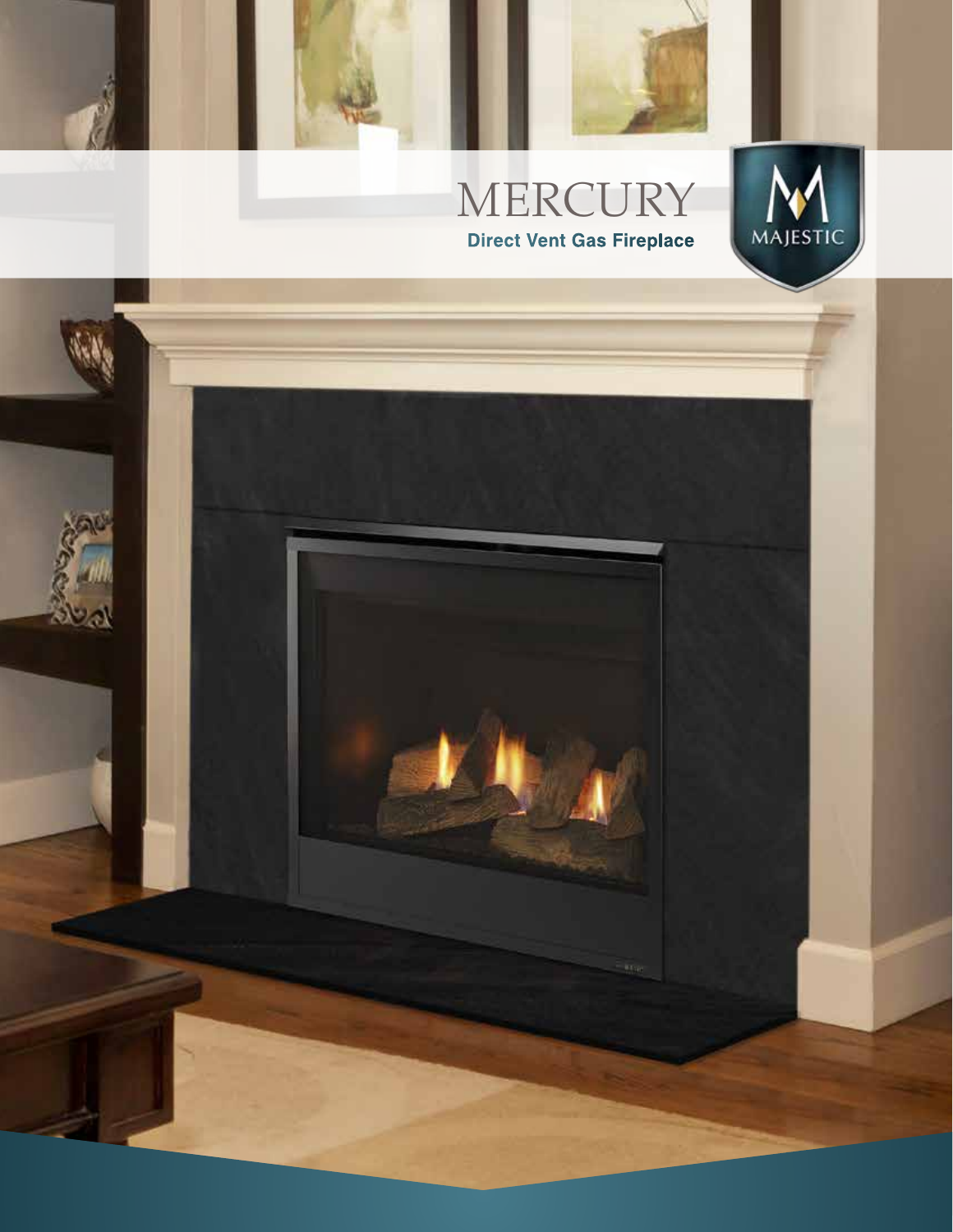